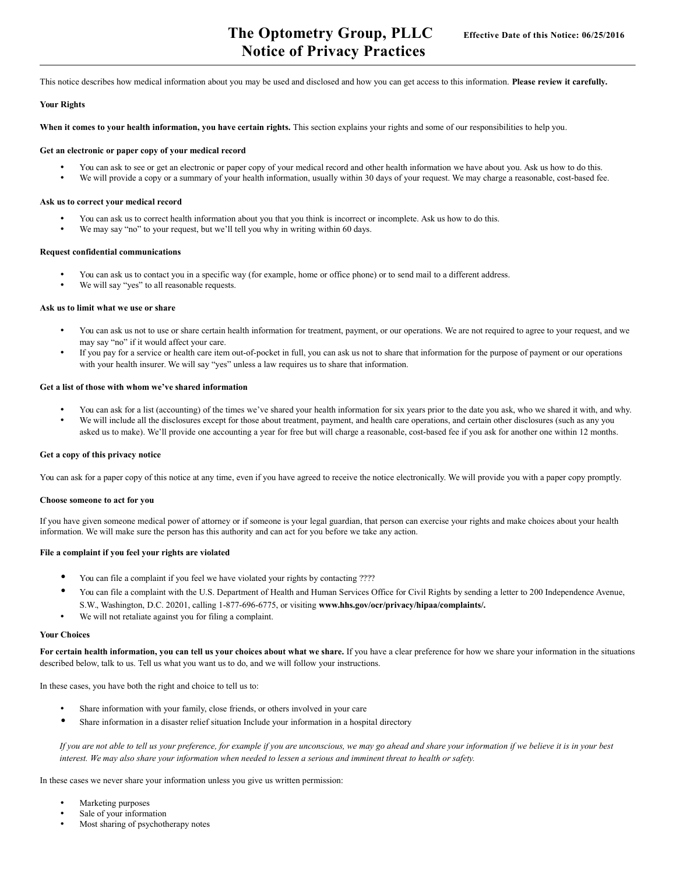This notice describes how medical information about you may be used and disclosed and how you can get access to this information. **Please review it carefully.**

# **Your Rights**

**When it comes to your health information, you have certain rights.** This section explains your rights and some of our responsibilities to help you.

### **Get an electronic or paper copy of your medical record**

- You can ask to see or get an electronic or paper copy of your medical record and other health information we have about you. Ask us how to do this.
- We will provide a copy or a summary of your health information, usually within 30 days of your request. We may charge a reasonable, cost-based fee.

### **Ask us to correct your medical record**

- You can ask us to correct health information about you that you think is incorrect or incomplete. Ask us how to do this.
- We may say "no" to your request, but we'll tell you why in writing within 60 days.

#### **Request confidential communications**

- You can ask us to contact you in a specific way (for example, home or office phone) or to send mail to a different address.
- We will say "yes" to all reasonable requests.

### **Ask us to limit what we use or share**

- You can ask us not to use or share certain health information for treatment, payment, or our operations. We are not required to agree to your request, and we may say "no" if it would affect your care.
- If you pay for a service or health care item out-of-pocket in full, you can ask us not to share that information for the purpose of payment or our operations with your health insurer. We will say "yes" unless a law requires us to share that information.

## **Get a list of those with whom we've shared information**

- You can ask for a list (accounting) of the times we've shared your health information for six years prior to the date you ask, who we shared it with, and why.
- We will include all the disclosures except for those about treatment, payment, and health care operations, and certain other disclosures (such as any you asked us to make). We'll provide one accounting a year for free but will charge a reasonable, cost-based fee if you ask for another one within 12 months.

### **Get a copy of this privacy notice**

You can ask for a paper copy of this notice at any time, even if you have agreed to receive the notice electronically. We will provide you with a paper copy promptly.

#### **Choose someone to act for you**

If you have given someone medical power of attorney or if someone is your legal guardian, that person can exercise your rights and make choices about your health information. We will make sure the person has this authority and can act for you before we take any action.

## **File a complaint if you feel your rights are violated**

- You can file a complaint if you feel we have violated your rights by contacting ????
- You can file a complaint with the U.S. Department of Health and Human Services Office for Civil Rights by sending a letter to 200 Independence Avenue, S.W., Washington, D.C. 20201, calling 1-877-696-6775, or visiting **www.hhs.gov/ocr/privacy/hipaa/complaints/.**
- We will not retaliate against you for filing a complaint.

### **Your Choices**

**For certain health information, you can tell us your choices about what we share.** If you have a clear preference for how we share your information in the situations described below, talk to us. Tell us what you want us to do, and we will follow your instructions.

In these cases, you have both the right and choice to tell us to:

- Share information with your family, close friends, or others involved in your care
- Share information in a disaster relief situation Include your information in a hospital directory

*If you are not able to tell us your preference, for example if you are unconscious, we may go ahead and share your information if we believe it is in your best interest. We may also share your information when needed to lessen a serious and imminent threat to health or safety.*

In these cases we never share your information unless you give us written permission:

- Marketing purposes
- Sale of your information
- Most sharing of psychotherapy notes